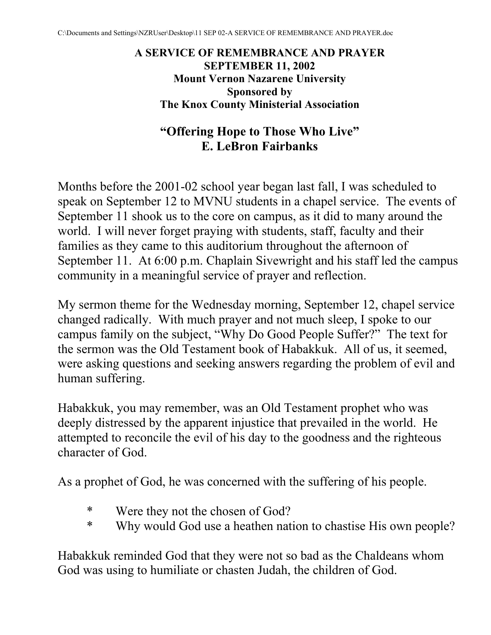**A SERVICE OF REMEMBRANCE AND PRAYER SEPTEMBER 11, 2002 Mount Vernon Nazarene University Sponsored by The Knox County Ministerial Association** 

# **"Offering Hope to Those Who Live" E. LeBron Fairbanks**

Months before the 2001-02 school year began last fall, I was scheduled to speak on September 12 to MVNU students in a chapel service. The events of September 11 shook us to the core on campus, as it did to many around the world. I will never forget praying with students, staff, faculty and their families as they came to this auditorium throughout the afternoon of September 11. At 6:00 p.m. Chaplain Sivewright and his staff led the campus community in a meaningful service of prayer and reflection.

My sermon theme for the Wednesday morning, September 12, chapel service changed radically. With much prayer and not much sleep, I spoke to our campus family on the subject, "Why Do Good People Suffer?" The text for the sermon was the Old Testament book of Habakkuk. All of us, it seemed, were asking questions and seeking answers regarding the problem of evil and human suffering.

Habakkuk, you may remember, was an Old Testament prophet who was deeply distressed by the apparent injustice that prevailed in the world. He attempted to reconcile the evil of his day to the goodness and the righteous character of God.

As a prophet of God, he was concerned with the suffering of his people.

- \* Were they not the chosen of God?
- \* Why would God use a heathen nation to chastise His own people?

Habakkuk reminded God that they were not so bad as the Chaldeans whom God was using to humiliate or chasten Judah, the children of God.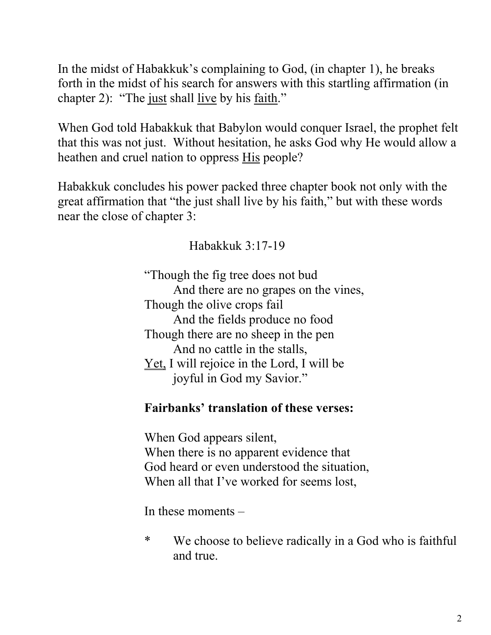In the midst of Habakkuk's complaining to God, (in chapter 1), he breaks forth in the midst of his search for answers with this startling affirmation (in chapter 2): "The just shall live by his faith."

When God told Habakkuk that Babylon would conquer Israel, the prophet felt that this was not just. Without hesitation, he asks God why He would allow a heathen and cruel nation to oppress His people?

Habakkuk concludes his power packed three chapter book not only with the great affirmation that "the just shall live by his faith," but with these words near the close of chapter 3:

Habakkuk 3:17-19

"Though the fig tree does not bud And there are no grapes on the vines, Though the olive crops fail And the fields produce no food Though there are no sheep in the pen And no cattle in the stalls, Yet, I will rejoice in the Lord, I will be joyful in God my Savior."

### **Fairbanks' translation of these verses:**

 When God appears silent, When there is no apparent evidence that God heard or even understood the situation, When all that I've worked for seems lost,

In these moments –

\* We choose to believe radically in a God who is faithful and true.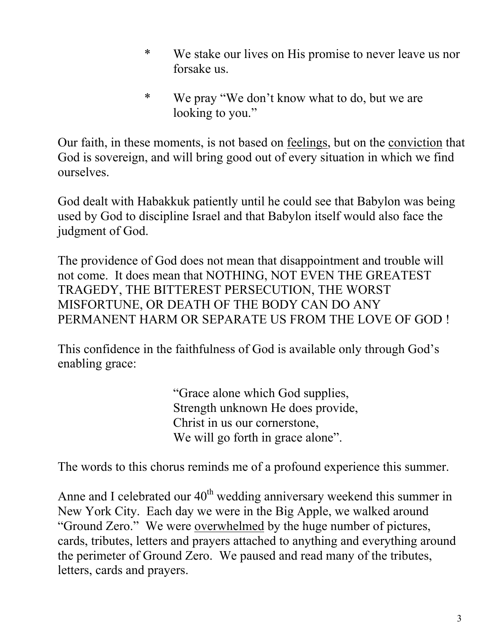- \* We stake our lives on His promise to never leave us nor forsake us.
- \* We pray "We don't know what to do, but we are looking to you."

Our faith, in these moments, is not based on feelings, but on the conviction that God is sovereign, and will bring good out of every situation in which we find ourselves.

God dealt with Habakkuk patiently until he could see that Babylon was being used by God to discipline Israel and that Babylon itself would also face the judgment of God.

The providence of God does not mean that disappointment and trouble will not come. It does mean that NOTHING, NOT EVEN THE GREATEST TRAGEDY, THE BITTEREST PERSECUTION, THE WORST MISFORTUNE, OR DEATH OF THE BODY CAN DO ANY PERMANENT HARM OR SEPARATE US FROM THE LOVE OF GOD !

This confidence in the faithfulness of God is available only through God's enabling grace:

> "Grace alone which God supplies, Strength unknown He does provide, Christ in us our cornerstone, We will go forth in grace alone".

The words to this chorus reminds me of a profound experience this summer.

Anne and I celebrated our  $40<sup>th</sup>$  wedding anniversary weekend this summer in New York City. Each day we were in the Big Apple, we walked around "Ground Zero." We were overwhelmed by the huge number of pictures, cards, tributes, letters and prayers attached to anything and everything around the perimeter of Ground Zero. We paused and read many of the tributes, letters, cards and prayers.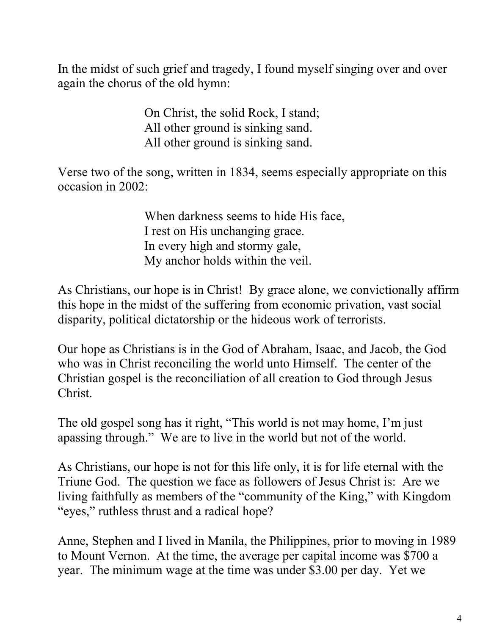In the midst of such grief and tragedy, I found myself singing over and over again the chorus of the old hymn:

> On Christ, the solid Rock, I stand; All other ground is sinking sand. All other ground is sinking sand.

Verse two of the song, written in 1834, seems especially appropriate on this occasion in 2002:

> When darkness seems to hide His face, I rest on His unchanging grace. In every high and stormy gale, My anchor holds within the veil.

As Christians, our hope is in Christ! By grace alone, we convictionally affirm this hope in the midst of the suffering from economic privation, vast social disparity, political dictatorship or the hideous work of terrorists.

Our hope as Christians is in the God of Abraham, Isaac, and Jacob, the God who was in Christ reconciling the world unto Himself. The center of the Christian gospel is the reconciliation of all creation to God through Jesus Christ.

The old gospel song has it right, "This world is not may home, I'm just apassing through." We are to live in the world but not of the world.

As Christians, our hope is not for this life only, it is for life eternal with the Triune God. The question we face as followers of Jesus Christ is: Are we living faithfully as members of the "community of the King," with Kingdom "eyes," ruthless thrust and a radical hope?

Anne, Stephen and I lived in Manila, the Philippines, prior to moving in 1989 to Mount Vernon. At the time, the average per capital income was \$700 a year. The minimum wage at the time was under \$3.00 per day. Yet we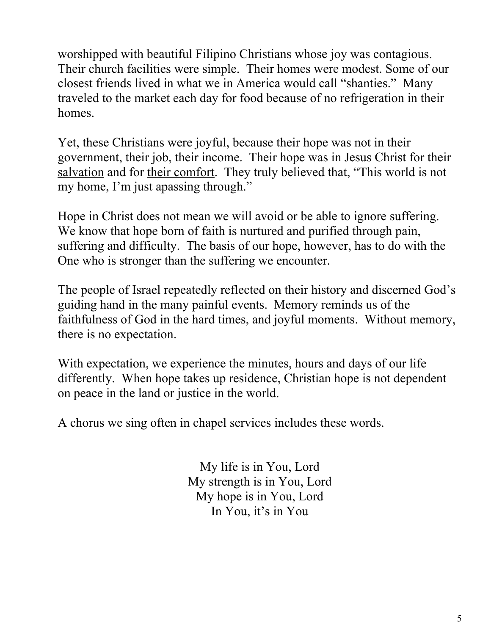worshipped with beautiful Filipino Christians whose joy was contagious. Their church facilities were simple. Their homes were modest. Some of our closest friends lived in what we in America would call "shanties." Many traveled to the market each day for food because of no refrigeration in their homes.

Yet, these Christians were joyful, because their hope was not in their government, their job, their income. Their hope was in Jesus Christ for their salvation and for their comfort. They truly believed that, "This world is not my home, I'm just apassing through."

Hope in Christ does not mean we will avoid or be able to ignore suffering. We know that hope born of faith is nurtured and purified through pain, suffering and difficulty. The basis of our hope, however, has to do with the One who is stronger than the suffering we encounter.

The people of Israel repeatedly reflected on their history and discerned God's guiding hand in the many painful events. Memory reminds us of the faithfulness of God in the hard times, and joyful moments. Without memory, there is no expectation.

With expectation, we experience the minutes, hours and days of our life differently. When hope takes up residence, Christian hope is not dependent on peace in the land or justice in the world.

A chorus we sing often in chapel services includes these words.

My life is in You, Lord My strength is in You, Lord My hope is in You, Lord In You, it's in You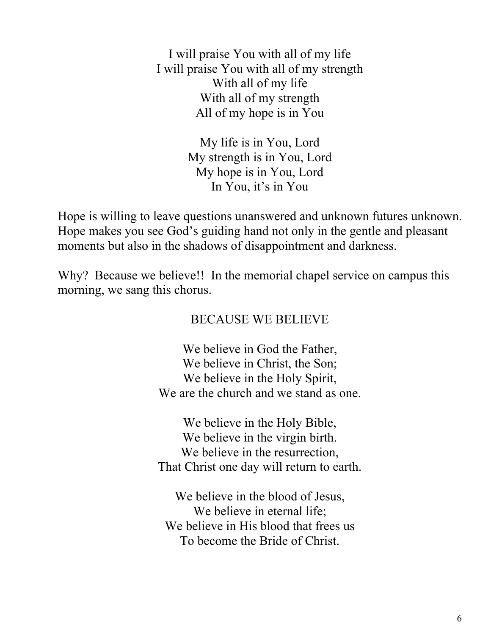I will praise You with all of my life I will praise You with all of my strength With all of my life With all of my strength All of my hope is in You

> My life is in You, Lord My strength is in You, Lord My hope is in You, Lord In You, it's in You

Hope is willing to leave questions unanswered and unknown futures unknown. Hope makes you see God's guiding hand not only in the gentle and pleasant moments but also in the shadows of disappointment and darkness.

Why? Because we believe!! In the memorial chapel service on campus this morning, we sang this chorus.

### BECAUSE WE BELIEVE

We believe in God the Father, We believe in Christ, the Son; We believe in the Holy Spirit, We are the church and we stand as one.

We believe in the Holy Bible, We believe in the virgin birth. We believe in the resurrection. That Christ one day will return to earth.

We believe in the blood of Jesus, We believe in eternal life; We believe in His blood that frees us To become the Bride of Christ.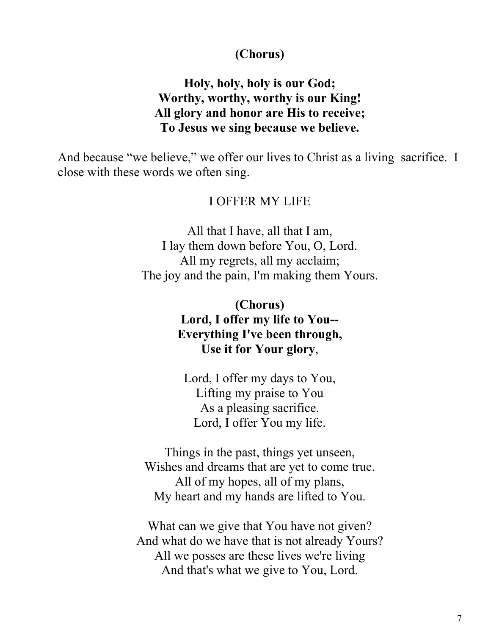#### **(Chorus)**

#### **Holy, holy, holy is our God; Worthy, worthy, worthy is our King! All glory and honor are His to receive; To Jesus we sing because we believe.**

And because "we believe," we offer our lives to Christ as a living sacrifice. I close with these words we often sing.

#### I OFFER MY LIFE

All that I have, all that I am, I lay them down before You, O, Lord. All my regrets, all my acclaim; The joy and the pain, I'm making them Yours.

> **(Chorus) Lord, I offer my life to You-- Everything I've been through, Use it for Your glory**,

Lord, I offer my days to You, Lifting my praise to You As a pleasing sacrifice. Lord, I offer You my life.

Things in the past, things yet unseen, Wishes and dreams that are yet to come true. All of my hopes, all of my plans, My heart and my hands are lifted to You.

What can we give that You have not given? And what do we have that is not already Yours? All we posses are these lives we're living And that's what we give to You, Lord.